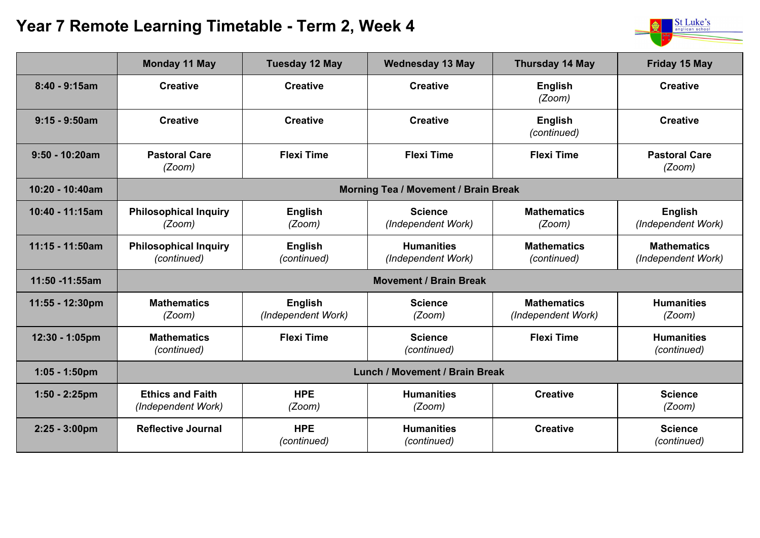## **Year 7 Remote Learning Timetable - Term 2, Week 4**



|                         | <b>Monday 11 May</b>                          | <b>Tuesday 12 May</b>         | <b>Wednesday 13 May</b>                 | <b>Thursday 14 May</b>                   | Friday 15 May                            |  |  |
|-------------------------|-----------------------------------------------|-------------------------------|-----------------------------------------|------------------------------------------|------------------------------------------|--|--|
| $8:40 - 9:15am$         | <b>Creative</b>                               | <b>Creative</b>               | <b>Creative</b>                         | <b>English</b><br>(Zoom)                 | <b>Creative</b>                          |  |  |
| $9:15 - 9:50$ am        | <b>Creative</b>                               | <b>Creative</b>               | <b>Creative</b>                         | <b>English</b><br>(continued)            | <b>Creative</b>                          |  |  |
| $9:50 - 10:20am$        | <b>Pastoral Care</b><br>(Zoom)                | <b>Flexi Time</b>             | <b>Flexi Time</b>                       | <b>Flexi Time</b>                        | <b>Pastoral Care</b><br>(Zoom)           |  |  |
| 10:20 - 10:40am         | <b>Morning Tea / Movement / Brain Break</b>   |                               |                                         |                                          |                                          |  |  |
| 10:40 - 11:15am         | <b>Philosophical Inquiry</b><br>(Zoom)        | <b>English</b><br>(Zoom)      | <b>Science</b><br>(Independent Work)    | <b>Mathematics</b><br>(Zoom)             | <b>English</b><br>(Independent Work)     |  |  |
| 11:15 - 11:50am         | <b>Philosophical Inquiry</b><br>(continued)   | <b>English</b><br>(continued) | <b>Humanities</b><br>(Independent Work) | <b>Mathematics</b><br>(continued)        | <b>Mathematics</b><br>(Independent Work) |  |  |
| 11:50 -11:55am          | <b>Movement / Brain Break</b>                 |                               |                                         |                                          |                                          |  |  |
| 11:55 - 12:30pm         | <b>Mathematics</b><br>(Zoom)                  | English<br>(Independent Work) | <b>Science</b><br>(Zoom)                | <b>Mathematics</b><br>(Independent Work) | <b>Humanities</b><br>(Zoom)              |  |  |
| 12:30 - 1:05pm          | <b>Mathematics</b><br>(continued)             | <b>Flexi Time</b>             | <b>Science</b><br>(continued)           | <b>Flexi Time</b>                        | <b>Humanities</b><br>(continued)         |  |  |
| $1:05 - 1:50$ pm        | <b>Lunch / Movement / Brain Break</b>         |                               |                                         |                                          |                                          |  |  |
| $1:50 - 2:25$ pm        | <b>Ethics and Faith</b><br>(Independent Work) | <b>HPE</b><br>(Zoom)          | <b>Humanities</b><br>(Zoom)             | <b>Creative</b>                          | <b>Science</b><br>(Zoom)                 |  |  |
| $2:25 - 3:00 \text{pm}$ | <b>Reflective Journal</b>                     | <b>HPE</b><br>(continued)     | <b>Humanities</b><br>(continued)        | <b>Creative</b>                          | <b>Science</b><br>(continued)            |  |  |